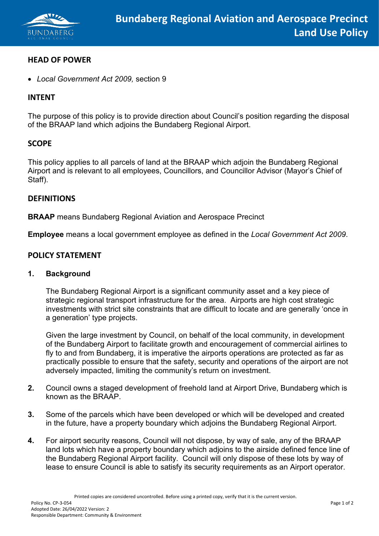

## **HEAD OF POWER**

• *Local Government Act 2009,* section 9

## **INTENT**

The purpose of this policy is to provide direction about Council's position regarding the disposal of the BRAAP land which adjoins the Bundaberg Regional Airport.

### **SCOPE**

This policy applies to all parcels of land at the BRAAP which adjoin the Bundaberg Regional Airport and is relevant to all employees, Councillors, and Councillor Advisor (Mayor's Chief of Staff).

### **DEFINITIONS**

**BRAAP** means Bundaberg Regional Aviation and Aerospace Precinct

**Employee** means a local government employee as defined in the *Local Government Act 2009*.

### **POLICY STATEMENT**

#### **1. Background**

The Bundaberg Regional Airport is a significant community asset and a key piece of strategic regional transport infrastructure for the area. Airports are high cost strategic investments with strict site constraints that are difficult to locate and are generally 'once in a generation' type projects.

Given the large investment by Council, on behalf of the local community, in development of the Bundaberg Airport to facilitate growth and encouragement of commercial airlines to fly to and from Bundaberg, it is imperative the airports operations are protected as far as practically possible to ensure that the safety, security and operations of the airport are not adversely impacted, limiting the community's return on investment.

- **2.** Council owns a staged development of freehold land at Airport Drive, Bundaberg which is known as the BRAAP.
- **3.** Some of the parcels which have been developed or which will be developed and created in the future, have a property boundary which adjoins the Bundaberg Regional Airport.
- **4.** For airport security reasons, Council will not dispose, by way of sale, any of the BRAAP land lots which have a property boundary which adjoins to the airside defined fence line of the Bundaberg Regional Airport facility. Council will only dispose of these lots by way of lease to ensure Council is able to satisfy its security requirements as an Airport operator.

Printed copies are considered uncontrolled. Before using a printed copy, verify that it is the current version.